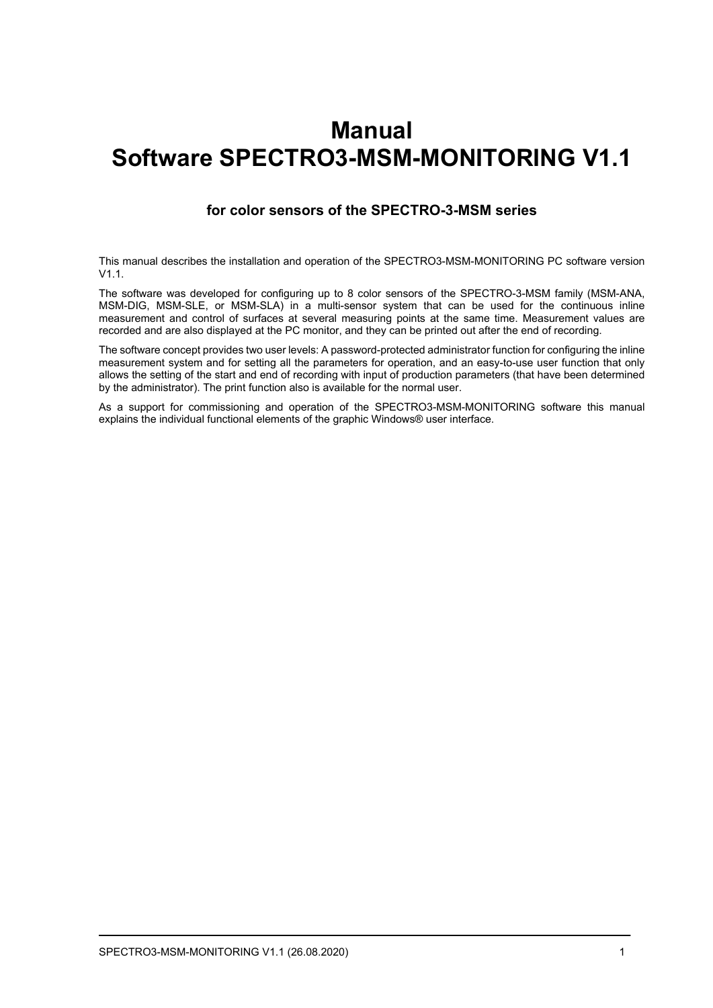# **Manual Software SPECTRO3-MSM-MONITORING V1.1**

### **for color sensors of the SPECTRO-3-MSM series**

This manual describes the installation and operation of the SPECTRO3-MSM-MONITORING PC software version  $V1.1$ 

The software was developed for configuring up to 8 color sensors of the SPECTRO-3-MSM family (MSM-ANA, MSM-DIG, MSM-SLE, or MSM-SLA) in a multi-sensor system that can be used for the continuous inline measurement and control of surfaces at several measuring points at the same time. Measurement values are recorded and are also displayed at the PC monitor, and they can be printed out after the end of recording.

The software concept provides two user levels: A password-protected administrator function for configuring the inline measurement system and for setting all the parameters for operation, and an easy-to-use user function that only allows the setting of the start and end of recording with input of production parameters (that have been determined by the administrator). The print function also is available for the normal user.

As a support for commissioning and operation of the SPECTRO3-MSM-MONITORING software this manual explains the individual functional elements of the graphic Windows® user interface.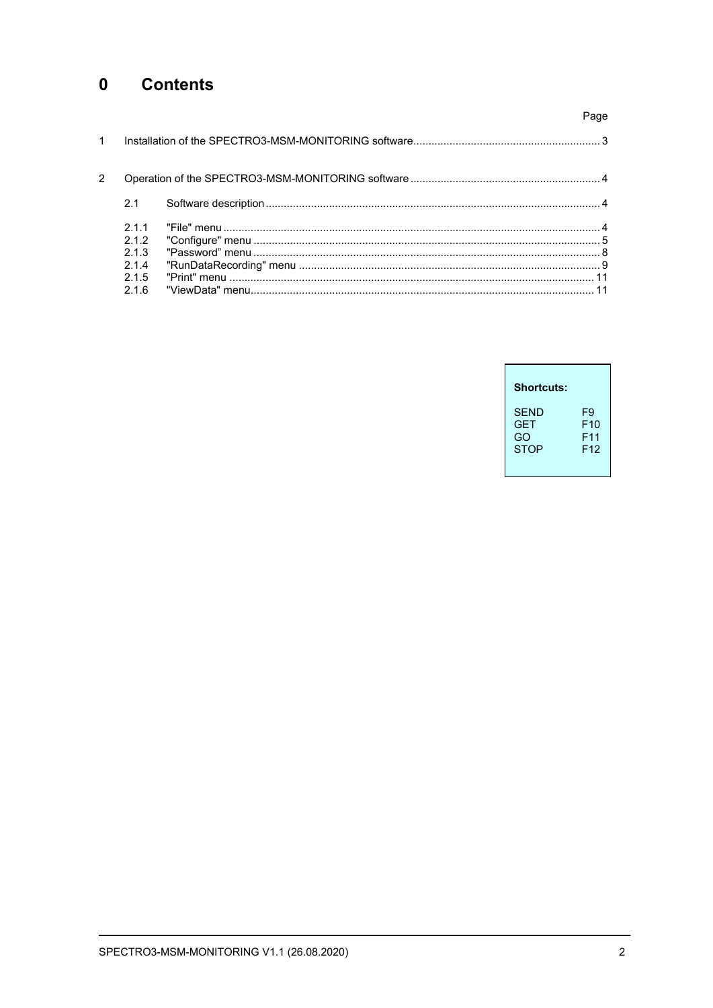#### $\mathbf 0$ **Contents**

|               |                     | Page |
|---------------|---------------------|------|
| $\mathbf{1}$  |                     |      |
| $\mathcal{P}$ |                     |      |
|               | 2.1                 |      |
|               | 211<br>2.1.2<br>213 |      |
|               | 214<br>215<br>216   |      |

| <b>Shortcuts:</b> |                 |
|-------------------|-----------------|
| <b>SFND</b>       | F9              |
| <b>GFT</b>        | F10             |
| GO                | F <sub>11</sub> |
| <b>STOP</b>       | F <sub>12</sub> |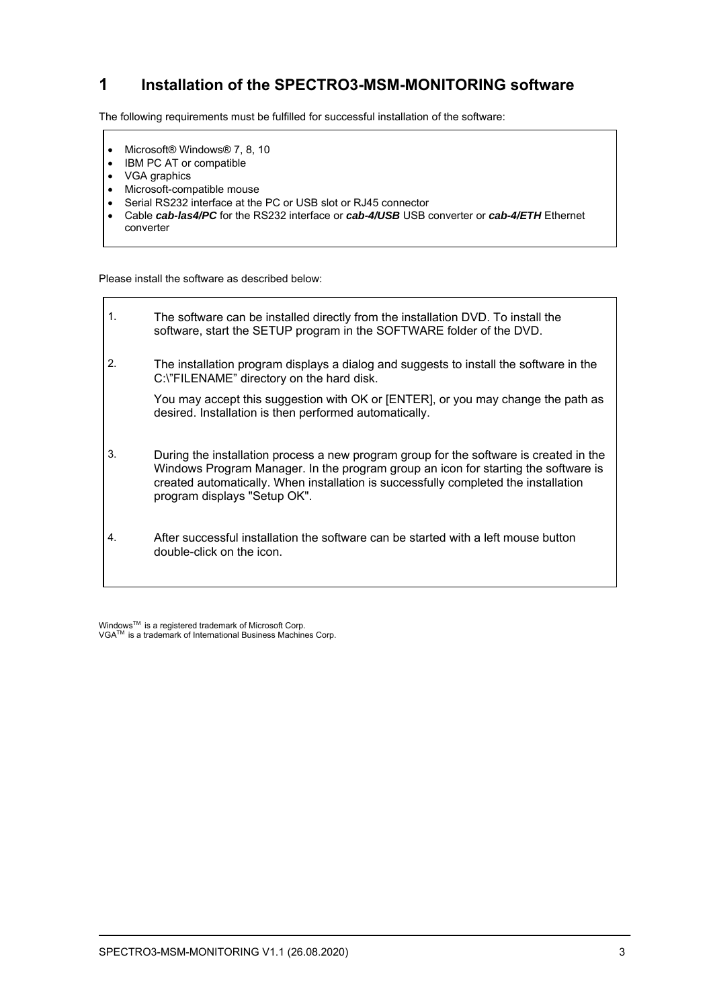# **1 Installation of the SPECTRO3-MSM-MONITORING software**

The following requirements must be fulfilled for successful installation of the software:

- Microsoft® Windows® 7, 8, 10
- IBM PC AT or compatible
- VGA graphics
- Microsoft-compatible mouse
- Serial RS232 interface at the PC or USB slot or RJ45 connector
- Cable *cab-las4/PC* for the RS232 interface or *cab-4/USB* USB converter or *cab-4/ETH* Ethernet converter

Please install the software as described below:

1. The software can be installed directly from the installation DVD. To install the software, start the SETUP program in the SOFTWARE folder of the DVD. 2. The installation program displays a dialog and suggests to install the software in the C:\"FILENAME" directory on the hard disk. You may accept this suggestion with OK or [ENTER], or you may change the path as desired. Installation is then performed automatically. 3. During the installation process a new program group for the software is created in the Windows Program Manager. In the program group an icon for starting the software is created automatically. When installation is successfully completed the installation program displays "Setup OK". 4. After successful installation the software can be started with a left mouse button double-click on the icon.

WindowsTM is a registered trademark of Microsoft Corp. VGATM is a trademark of International Business Machines Corp.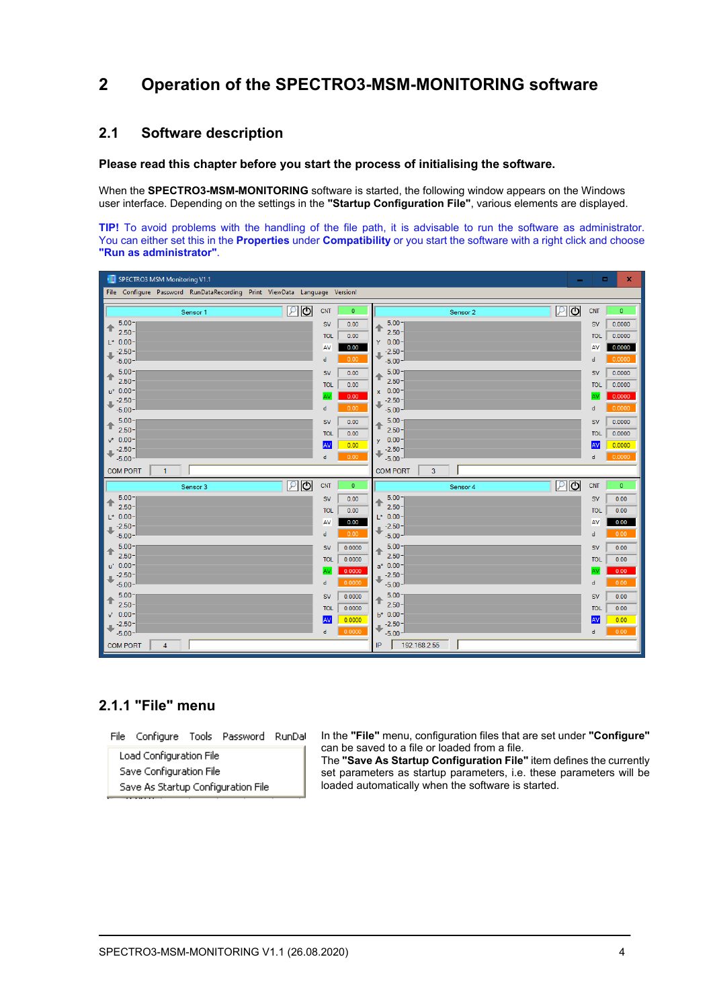# **2 Operation of the SPECTRO3-MSM-MONITORING software**

### **2.1 Software description**

#### **Please read this chapter before you start the process of initialising the software.**

When the **SPECTRO3-MSM-MONITORING** software is started, the following window appears on the Windows user interface. Depending on the settings in the **"Startup Configuration File"**, various elements are displayed.

**TIP!** To avoid problems with the handling of the file path, it is advisable to run the software as administrator. You can either set this in the **Properties** under **Compatibility** or you start the software with a right click and choose **"Run as administrator"**.

| SPECTRO3 MSM Monitoring V1.1<br>$\mathbf x$<br>ш<br>$\sim$                                                                                                                                                  |                                                                                                                                                                                                                        |                                                                                                                                                                                             |                                                                                                                                                                                                                         |  |
|-------------------------------------------------------------------------------------------------------------------------------------------------------------------------------------------------------------|------------------------------------------------------------------------------------------------------------------------------------------------------------------------------------------------------------------------|---------------------------------------------------------------------------------------------------------------------------------------------------------------------------------------------|-------------------------------------------------------------------------------------------------------------------------------------------------------------------------------------------------------------------------|--|
| File Configure Password RunDataRecording Print ViewData Language Version!                                                                                                                                   |                                                                                                                                                                                                                        |                                                                                                                                                                                             |                                                                                                                                                                                                                         |  |
| $\overline{c}$<br>$\mathcal{P}$<br>Sensor 1                                                                                                                                                                 | <b>CNT</b><br>$\circ$                                                                                                                                                                                                  | உ<br>Sensor 2                                                                                                                                                                               | <b>CNT</b><br>$\bullet$                                                                                                                                                                                                 |  |
| $5.00 -$<br>↑<br>$2.50 -$<br>$L^*$ 0.00-<br>$-2.50-$<br>щ<br>$-5.00$<br>$5.00 -$<br>↟<br>$2.50 -$<br>$u^*$ 0.00-<br>$-2.50-$<br>n,<br>$-5.00$<br>$5.00 -$<br>⇑<br>$2.50 -$<br>$v^*$ 0.00 -<br>$-2.50-$<br>J | <b>SV</b><br>0.00<br><b>TOL</b><br>0.00<br>AV<br>0.00<br>0.00<br>$\mathbf d$<br><b>SV</b><br>0.00<br>0.00<br><b>TOL</b><br>0.00<br>AV<br>0.00<br>$\mathsf{d}$<br><b>SV</b><br>0.00<br><b>TOL</b><br>0.00<br>AV<br>0.00 | 5.00<br>⇑<br>$2.50 -$<br>$0.00 -$<br>Y<br>$-2.50-$<br>$-5.00 -$<br>5.00<br>↟<br>$2.50 -$<br>$x = 0.00 -$<br>$-2.50-$<br>$-5.00 -$<br>$5.00 -$<br>↟<br>$2.50 -$<br>$0.00 -$<br>y<br>$-2.50-$ | <b>SV</b><br>0.0000<br>0.0000<br><b>TOL</b><br>0.0000<br>AV<br>0.0000<br>d<br>0.0000<br><b>SV</b><br>0.0000<br><b>TOL</b><br>0.0000<br>AV<br>0.0000<br>d<br>0.0000<br><b>SV</b><br><b>TOL</b><br>0.0000<br>AV<br>0.0000 |  |
| $-5.00 -$<br><b>COM PORT</b><br>$\mathbf{1}$                                                                                                                                                                | 0.00<br>$\mathsf{d}$                                                                                                                                                                                                   | $-5.00 -$<br>3<br><b>COM PORT</b>                                                                                                                                                           | 0.0000<br>d                                                                                                                                                                                                             |  |
| உ<br>Sensor 3<br>$5.00 -$<br>↟<br>$2.50 -$<br>$L^*$ 0.00-<br>$-2.50 -$<br>$-5.00$<br>5.00<br>↟<br>$2.50 -$<br>$0.00 -$<br>u'                                                                                | $\bullet$<br><b>CNT</b><br><b>SV</b><br>0.00<br><b>TOL</b><br>0.00<br>AV<br>0.00<br>0.00<br>$\mathbf d$<br><b>SV</b><br>0.0000<br>0.0000<br><b>TOL</b>                                                                 | $P$ 0<br>Sensor 4<br>5.00<br>$2.50 -$<br>$L^*$ 0.00-<br>$-2.50-$<br>$-5.00 -$<br>5.00<br>↟<br>$2.50 -$<br>$a^*$ 0.00-                                                                       | <b>CNT</b><br>$\overline{0}$<br>0.00<br><b>SV</b><br><b>TOL</b><br>0.00<br>0.00<br>AV<br>0.00<br>d<br><b>SV</b><br>0.00<br><b>TOL</b><br>0.00                                                                           |  |
| $-2.50-$<br>JL.<br>$-5.00 -$<br>$5.00 -$<br>↟<br>$2.50 -$<br>$0.00 -$<br>v.<br>$-2.50-$<br>$-5.00 -$<br><b>COM PORT</b><br>$\overline{4}$                                                                   | 0.0000<br>AV<br>0.0000<br>d<br><b>SV</b><br>0.0000<br><b>TOL</b><br>0.0000<br>AV<br>0.0000<br>0.0000<br>d                                                                                                              | $-2.50-$<br>Æ<br>$-5.00 -$<br>$5.00 -$<br>↟<br>$2.50 -$<br>$b* 0.00 -$<br>$-2.50 -$<br>$-5.00 -$<br>192.168.2.55<br>IP                                                                      | 0.00<br>AV<br>0.00<br>d<br><b>SV</b><br>0.00<br><b>TOL</b><br>0.00<br>AV<br>0.00<br>0.00<br>d                                                                                                                           |  |

## **2.1.1 "File" menu**

File Configure Tools Password RunDal

Load Configuration File Save Configuration File Save As Startup Configuration File In the **"File"** menu, configuration files that are set under **"Configure"** can be saved to a file or loaded from a file.

The **"Save As Startup Configuration File"** item defines the currently set parameters as startup parameters, i.e. these parameters will be loaded automatically when the software is started.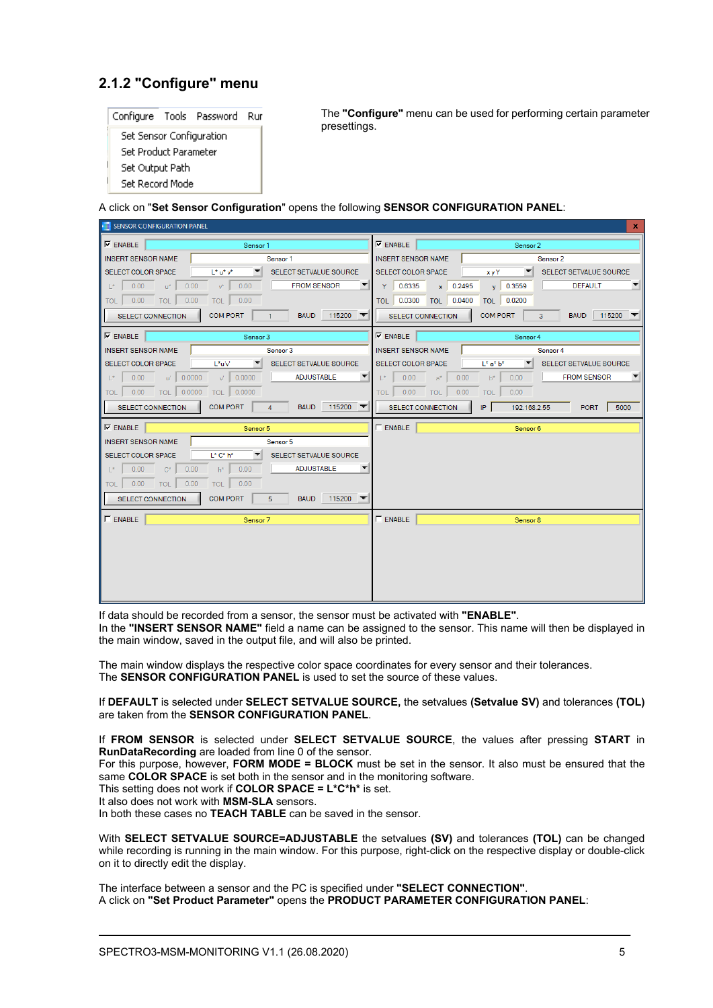# **2.1.2 "Configure" menu**



The **"Configure"** menu can be used for performing certain parameter presettings.

A click on "**Set Sensor Configuration**" opens the following **SENSOR CONFIGURATION PANEL**:

|                                             | SENSOR CONFIGURATION PANEL        |                               |                                |                    | x                                       |
|---------------------------------------------|-----------------------------------|-------------------------------|--------------------------------|--------------------|-----------------------------------------|
| $\nabla$ ENABLE                             | Sensor 1                          |                               | $\nabla$ ENABLE                | Sensor 2           |                                         |
| <b>INSERT SENSOR NAME</b>                   |                                   | Sensor 1                      | <b>INSERT SENSOR NAME</b>      |                    | Sensor 2                                |
| <b>SELECT COLOR SPACE</b>                   | $L^* u^* v^*$                     | SELECT SETVALUE SOURCE        | <b>SELECT COLOR SPACE</b>      | <b>xy</b> Y        | SELECT SETVALUE SOURCE                  |
| 0.00<br>0.00<br>$\mathsf{L}^\star$<br>$u^*$ | 0.00<br>$v^*$                     | <b>FROM SENSOR</b>            | Y<br>0.6335<br>$x \mid 0.2495$ | $y = 0.3559$       | <b>DEFAULT</b>                          |
| $0.00$ TOL<br>0.00<br><b>TOL</b>            | 0.00<br><b>TOL</b>                |                               | TOL 0.0300 TOL 0.0400          | TOL 0.0200         |                                         |
| <b>SELECT CONNECTION</b>                    | <b>COM PORT</b><br>$\overline{1}$ | 115200<br><b>BAUD</b>         | <b>SELECT CONNECTION</b>       | <b>COM PORT</b>    | 115200<br>$\overline{3}$<br><b>BAUD</b> |
| $\nabla$ ENABLE                             | Sensor 3                          |                               | $\nabla$ ENABLE                | Sensor 4           |                                         |
| <b>INSERT SENSOR NAME</b>                   |                                   | Sensor 3                      | <b>INSERT SENSOR NAME</b>      |                    | Sensor 4                                |
| <b>SELECT COLOR SPACE</b>                   | L*u'v'                            | <b>SELECT SETVALUE SOURCE</b> | <b>SELECT COLOR SPACE</b>      | $L^*$ a* $b^*$     | SELECT SETVALUE SOURCE                  |
| 0.00<br>0.0000<br>$L^*$<br>u'il             | 0.0000<br>$\vee$                  | <b>ADJUSTABLE</b>             | 0.00<br>$L^*$<br>0.00<br>$a^*$ | 0.00<br>$h^*$      | <b>FROM SENSOR</b>                      |
| $0.00$ TOL 0.0000<br>TOL                    | TOL 0.0000                        |                               | $0.00$ TOL<br>0.00<br>TOL      | 0.00<br><b>TOL</b> |                                         |
| <b>SELECT CONNECTION</b>                    | <b>COM PORT</b><br>$\overline{4}$ | 115200<br><b>BAUD</b>         | <b>SELECT CONNECTION</b>       | IP<br>192.168.2.55 | 5000<br><b>PORT</b>                     |
|                                             |                                   |                               |                                |                    |                                         |
| $\nabla$ ENABLE                             | Sensor 5                          |                               | $\Gamma$ ENABLE                | Sensor 6           |                                         |
| <b>INSERT SENSOR NAME</b>                   |                                   | Sensor 5                      |                                |                    |                                         |
| <b>SELECT COLOR SPACE</b>                   | $L^* C^* h^*$                     | SELECT SETVALUE SOURCE        |                                |                    |                                         |
| 0.00<br>0.00<br>$ *$<br>$C^*$               | 0.00<br>$h^*$                     | <b>ADJUSTABLE</b>             |                                |                    |                                         |
| $0.00$ TOL<br>0.00<br>TOL 1                 | 0.00<br><b>TOL</b>                |                               |                                |                    |                                         |
| <b>SELECT CONNECTION</b>                    | <b>COM PORT</b><br>$\overline{5}$ | 115200<br><b>BAUD</b>         |                                |                    |                                         |
| $\Gamma$ ENABLE                             | Sensor 7                          |                               | $\Gamma$ ENABLE                | Sensor 8           |                                         |
|                                             |                                   |                               |                                |                    |                                         |
|                                             |                                   |                               |                                |                    |                                         |
|                                             |                                   |                               |                                |                    |                                         |
|                                             |                                   |                               |                                |                    |                                         |
|                                             |                                   |                               |                                |                    |                                         |

If data should be recorded from a sensor, the sensor must be activated with **"ENABLE"**.

In the **"INSERT SENSOR NAME"** field a name can be assigned to the sensor. This name will then be displayed in the main window, saved in the output file, and will also be printed.

The main window displays the respective color space coordinates for every sensor and their tolerances. The **SENSOR CONFIGURATION PANEL** is used to set the source of these values.

If **DEFAULT** is selected under **SELECT SETVALUE SOURCE,** the setvalues **(Setvalue SV)** and tolerances **(TOL)**  are taken from the **SENSOR CONFIGURATION PANEL**.

If **FROM SENSOR** is selected under **SELECT SETVALUE SOURCE**, the values after pressing **START** in **RunDataRecording** are loaded from line 0 of the sensor.

For this purpose, however, **FORM MODE = BLOCK** must be set in the sensor. It also must be ensured that the same **COLOR SPACE** is set both in the sensor and in the monitoring software.

This setting does not work if **COLOR SPACE = L\*C\*h\*** is set.

It also does not work with **MSM-SLA** sensors.

In both these cases no **TEACH TABLE** can be saved in the sensor.

With **SELECT SETVALUE SOURCE=ADJUSTABLE** the setvalues **(SV)** and tolerances **(TOL)** can be changed while recording is running in the main window. For this purpose, right-click on the respective display or double-click on it to directly edit the display.

The interface between a sensor and the PC is specified under **"SELECT CONNECTION"**. A click on **"Set Product Parameter"** opens the **PRODUCT PARAMETER CONFIGURATION PANEL**: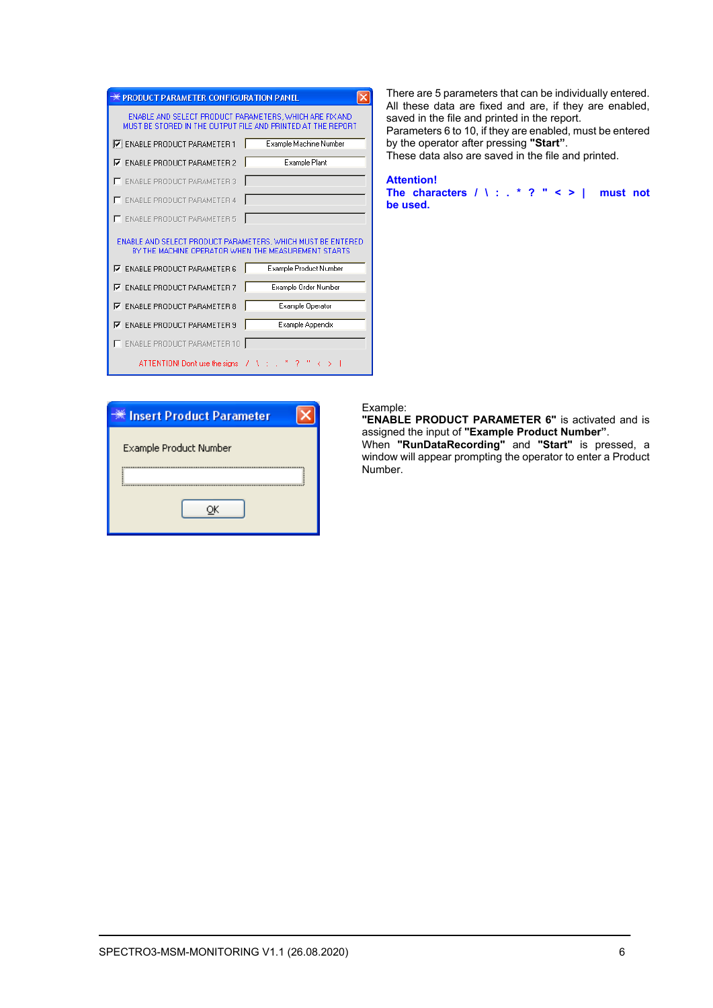| <b>PRODUCT PARAMETER CONFIGURATION PANEL</b>                                                                           |                        |
|------------------------------------------------------------------------------------------------------------------------|------------------------|
| ENABLE AND SELECT PRODUCT PARAMETERS, WHICH ARE FIX AND<br>MUST BE STORED IN THE OUTPUT FILE AND PRINTED AT THE REPORT |                        |
| ENABLE PRODUCT PARAMETER 1                                                                                             | Example Machine Number |
| <b>▽ ENABLE PRODUCT PARAMETER 2</b>                                                                                    | <b>Example Plant</b>   |
| <b>ENABLE PRODUCT PARAMETER 3</b>                                                                                      |                        |
| E ENABLE PRODUCT PARAMETER 4                                                                                           |                        |
| <b>ENABLE PRODUCT PARAMETER 5</b>                                                                                      |                        |
| ENABLE AND SELECT PRODUCT PARAMETERS, WHICH MUST BE ENTERED<br>BY THE MACHINE OPERATOR WHEN THE MEASUREMENT STARTS     |                        |
| $\nabla$ ENABLE PRODUCT PARAMETER 6                                                                                    | Example Product Number |
| <b>ENABLE PRODUCT PARAMETER 7</b><br>⊽                                                                                 | Example Order Number   |
| <b>ENABLE PRODUCT PARAMETER 8</b><br>⊽                                                                                 | Example Operator       |
| <b>ENABLE PRODUCT PARAMETER 9</b><br>⊽                                                                                 | Example Appendix       |
| ENABLE PRODUCT PARAMETER 10                                                                                            |                        |
| ATTENTION! Don't use the signs $7 \times 1$                                                                            |                        |

There are 5 parameters that can be individually entered. All these data are fixed and are, if they are enabled, saved in the file and printed in the report. Parameters 6 to 10, if they are enabled, must be entered by the operator after pressing **"Start"**. These data also are saved in the file and printed.

#### **Attention!**

**The characters / \ : . \* ? " < > | must not be used.**

| ※ Insert Product Parameter |
|----------------------------|
| Example Product Number     |
|                            |
|                            |
|                            |
|                            |

#### Example:

**"ENABLE PRODUCT PARAMETER 6"** is activated and is assigned the input of **"Example Product Number"**. When **"RunDataRecording"** and **"Start"** is pressed, a window will appear prompting the operator to enter a Product Number.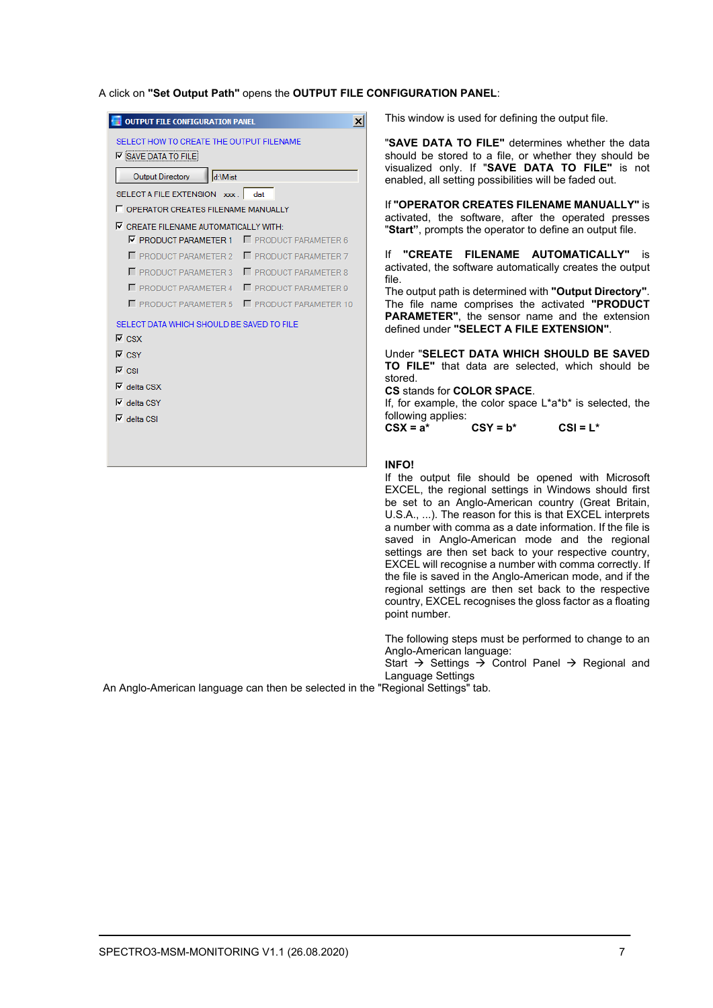A click on **"Set Output Path"** opens the **OUTPUT FILE CONFIGURATION PANEL**:

| <b>OUTPUT FILE CONFIGURATION PANEL</b>                                 | x                            |  |  |
|------------------------------------------------------------------------|------------------------------|--|--|
| SELECT HOW TO CREATE THE OUTPUT FILENAME<br><b>V</b> SAVE DATA TO FILE |                              |  |  |
| d:\Mist<br><b>Output Directory</b>                                     |                              |  |  |
| SELECT A FILE EXTENSION xxx. dat                                       |                              |  |  |
| <b>F</b> OPERATOR CREATES FILENAME MANUALLY                            |                              |  |  |
| $\nabla$ CREATE FILENAME AUTOMATICALLY WITH:                           |                              |  |  |
| F PRODUCT PARAMETER 1                                                  | <b>F</b> PRODUCT PARAMETER 6 |  |  |
| <b>F</b> PRODUCT PARAMETER 2                                           | <b>F</b> PRODUCT PARAMETER 7 |  |  |
| PRODUCT PARAMETER 3                                                    | <b>F</b> PRODUCT PARAMETER 8 |  |  |
| <b>F</b> PRODUCT PARAMETER 4                                           | <b>F</b> PRODUCT PARAMETER 9 |  |  |
| <b>F</b> PRODUCT PARAMETER 5                                           | PRODUCT PARAMETER 10         |  |  |
| SELECT DATA WHICH SHOULD BE SAVED TO FILE                              |                              |  |  |
| $\nabla$ CSX                                                           |                              |  |  |
| $\nabla$ CSY                                                           |                              |  |  |
| $\overline{V}$ CSI                                                     |                              |  |  |
| $\nabla$ delta CSX                                                     |                              |  |  |
| $\overline{\mathsf{v}}$ delta CSY                                      |                              |  |  |
| $\nabla$ delta CSI                                                     |                              |  |  |
|                                                                        |                              |  |  |
|                                                                        |                              |  |  |
|                                                                        |                              |  |  |

This window is used for defining the output file.

"**SAVE DATA TO FILE"** determines whether the data should be stored to a file, or whether they should be visualized only. If "**SAVE DATA TO FILE"** is not enabled, all setting possibilities will be faded out.

If **"OPERATOR CREATES FILENAME MANUALLY"** is activated, the software, after the operated presses "**Start"**, prompts the operator to define an output file.

If **"CREATE FILENAME AUTOMATICALLY"** is activated, the software automatically creates the output file.

The output path is determined with **"Output Directory"**. The file name comprises the activated **"PRODUCT PARAMETER"**, the sensor name and the extension defined under **"SELECT A FILE EXTENSION"**.

Under "**SELECT DATA WHICH SHOULD BE SAVED TO FILE"** that data are selected, which should be stored.

**CS** stands for **COLOR SPACE**.

If, for example, the color space L\*a\*b\* is selected, the following applies:<br> $CSX = a^*$ 

 $CSY = b^*$  CSI =  $L^*$ 

#### **INFO!**

If the output file should be opened with Microsoft EXCEL, the regional settings in Windows should first be set to an Anglo-American country (Great Britain, U.S.A., ...). The reason for this is that EXCEL interprets a number with comma as a date information. If the file is saved in Anglo-American mode and the regional settings are then set back to your respective country, EXCEL will recognise a number with comma correctly. If the file is saved in the Anglo-American mode, and if the regional settings are then set back to the respective country, EXCEL recognises the gloss factor as a floating point number.

The following steps must be performed to change to an Anglo-American language:

Start  $\rightarrow$  Settings  $\rightarrow$  Control Panel  $\rightarrow$  Regional and Language Settings

An Anglo-American language can then be selected in the "Regional Settings" tab.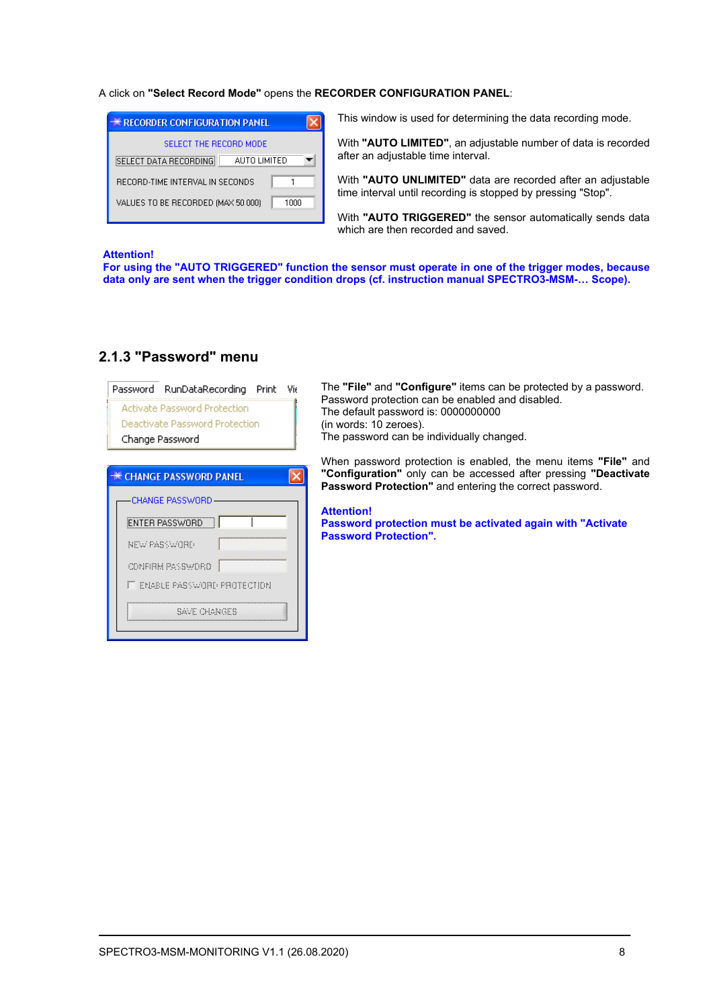#### A click on **"Select Record Mode"** opens the **RECORDER CONFIGURATION PANEL**:

| <del>※</del> RECORDER CONFIGURATION PANEL    |
|----------------------------------------------|
| SELECT THE BECOBD MODE                       |
| <b>SELECT DATA RECORDING</b><br>AUTO LIMITED |
| RECORD-TIME INTERVAL IN SECONDS              |
| VALUES TO BE RECORDED (MAX 50 000)<br>1000   |

This window is used for determining the data recording mode.

With **"AUTO LIMITED"**, an adjustable number of data is recorded after an adjustable time interval.

With **"AUTO UNLIMITED"** data are recorded after an adjustable time interval until recording is stopped by pressing "Stop".

With **"AUTO TRIGGERED"** the sensor automatically sends data which are then recorded and saved.

#### **Attention!**

**For using the "AUTO TRIGGERED" function the sensor must operate in one of the trigger modes, because data only are sent when the trigger condition drops (cf. instruction manual SPECTRO3-MSM-… Scope).**

| Password RunDataRecording Print    | Vir |
|------------------------------------|-----|
| Activate Password Protection       |     |
| Deactivate Password Protection     |     |
| Change Password                    |     |
|                                    |     |
| <del>※</del> CHANGE PASSWORD PANEL |     |
| <b>CHANGE PASSWORD</b>             |     |
| ENTER PASSWORD                     |     |
| NEW PASSWORD                       |     |
| CONFIRM PASSWORD                   |     |
| IT ENABLE PASSWORD PROTECTION      |     |
| SAVE CHANGES                       |     |

# **2.1.3 "Password" menu**

The **"File"** and **"Configure"** items can be protected by a password. Password protection can be enabled and disabled. The default password is: 0000000000 (in words: 10 zeroes). The password can be individually changed.

When password protection is enabled, the menu items **"File"** and **"Configuration"** only can be accessed after pressing **"Deactivate Password Protection"** and entering the correct password.

#### **Attention!**

**Password protection must be activated again with "Activate Password Protection".**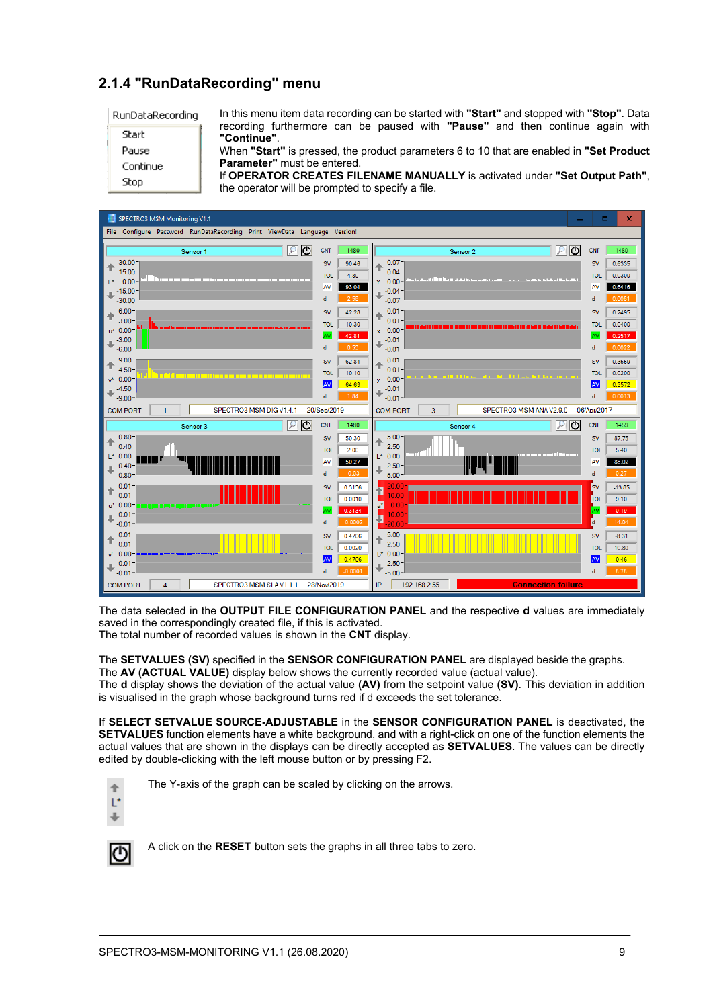# **2.1.4 "RunDataRecording" menu**

RunDataRecording

| Start    |
|----------|
| Pause    |
| Continue |

Stop

In this menu item data recording can be started with **"Start"** and stopped with **"Stop"**. Data recording furthermore can be paused with **"Pause"** and then continue again with **"Continue"**.

When **"Start"** is pressed, the product parameters 6 to 10 that are enabled in **"Set Product Parameter"** must be entered.

If **OPERATOR CREATES FILENAME MANUALLY** is activated under **"Set Output Path"**, the operator will be prompted to specify a file.



The data selected in the **OUTPUT FILE CONFIGURATION PANEL** and the respective **d** values are immediately saved in the correspondingly created file, if this is activated.

The total number of recorded values is shown in the **CNT** display.

The **SETVALUES (SV)** specified in the **SENSOR CONFIGURATION PANEL** are displayed beside the graphs. The **AV (ACTUAL VALUE)** display below shows the currently recorded value (actual value).

The **d** display shows the deviation of the actual value **(AV)** from the setpoint value **(SV)**. This deviation in addition is visualised in the graph whose background turns red if d exceeds the set tolerance.

If **SELECT SETVALUE SOURCE-ADJUSTABLE** in the **SENSOR CONFIGURATION PANEL** is deactivated, the **SETVALUES** function elements have a white background, and with a right-click on one of the function elements the actual values that are shown in the displays can be directly accepted as **SETVALUES**. The values can be directly edited by double-clicking with the left mouse button or by pressing F2.



The Y-axis of the graph can be scaled by clicking on the arrows.



A click on the **RESET** button sets the graphs in all three tabs to zero.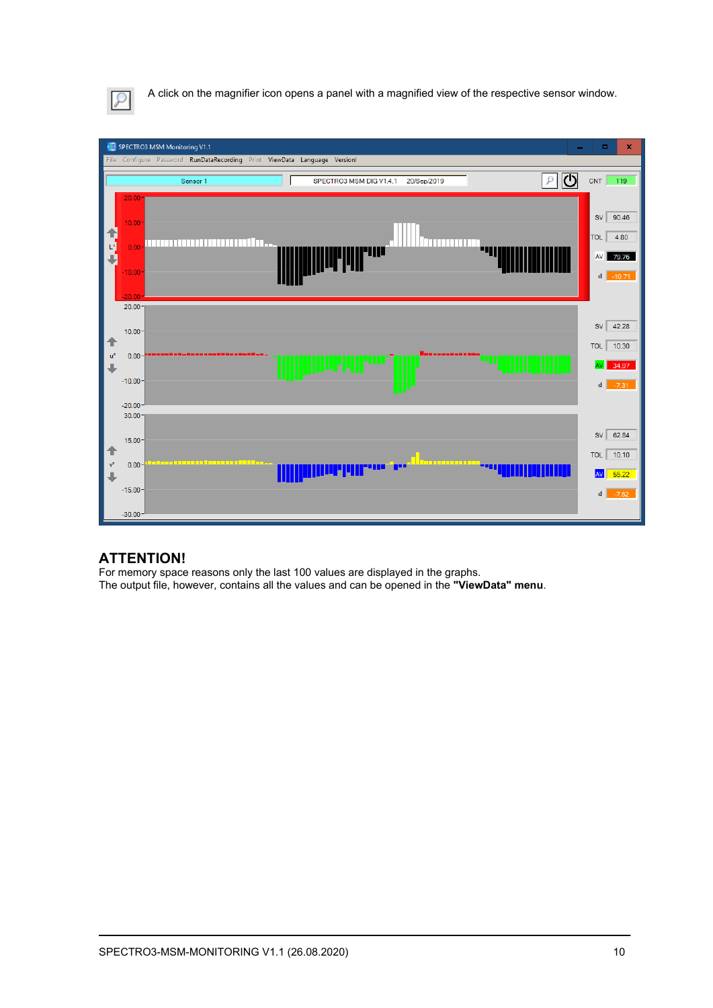

A click on the magnifier icon opens a panel with a magnified view of the respective sensor window.



## **ATTENTION!**

For memory space reasons only the last 100 values are displayed in the graphs. The output file, however, contains all the values and can be opened in the **"ViewData" menu**.